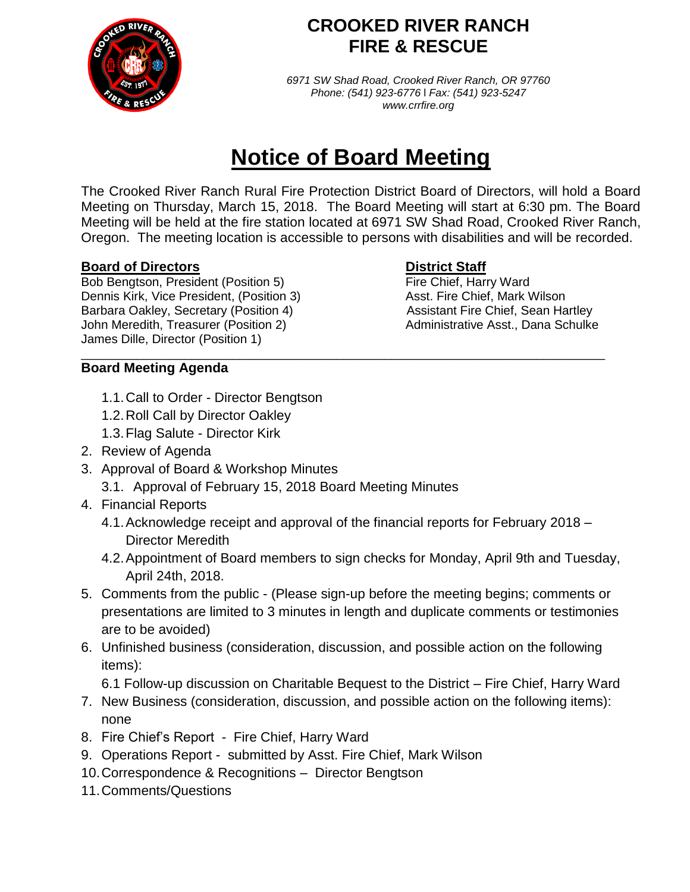

## **CROOKED RIVER RANCH FIRE & RESCUE**

*6971 SW Shad Road, Crooked River Ranch, OR 97760 Phone: (541) 923-6776* l *Fax: (541) 923-5247 www.crrfire.org*

# **Notice of Board Meeting**

The Crooked River Ranch Rural Fire Protection District Board of Directors, will hold a Board Meeting on Thursday, March 15, 2018. The Board Meeting will start at 6:30 pm. The Board Meeting will be held at the fire station located at 6971 SW Shad Road, Crooked River Ranch, Oregon. The meeting location is accessible to persons with disabilities and will be recorded.

### **Board of Directors District Staff**

Bob Bengtson, President (Position 5) Fire Chief, Harry Ward Dennis Kirk, Vice President, (Position 3) <br>Barbara Oakley, Secretary (Position 4) <br>Assistant Fire Chief, Sean Hartley Barbara Oakley, Secretary (Position 4) John Meredith, Treasurer (Position 2) Administrative Asst., Dana Schulke James Dille, Director (Position 1)

### \_\_\_\_\_\_\_\_\_\_\_\_\_\_\_\_\_\_\_\_\_\_\_\_\_\_\_\_\_\_\_\_\_\_\_\_\_\_\_\_\_\_\_\_\_\_\_\_\_\_\_\_\_\_\_\_\_\_\_\_\_\_\_\_\_\_\_\_\_\_\_\_\_\_\_\_ **Board Meeting Agenda**

- 1.1.Call to Order Director Bengtson
- 1.2.Roll Call by Director Oakley
- 1.3.Flag Salute Director Kirk
- 2. Review of Agenda
- 3. Approval of Board & Workshop Minutes
	- 3.1. Approval of February 15, 2018 Board Meeting Minutes
- 4. Financial Reports
	- 4.1.Acknowledge receipt and approval of the financial reports for February 2018 Director Meredith
	- 4.2.Appointment of Board members to sign checks for Monday, April 9th and Tuesday, April 24th, 2018.
- 5. Comments from the public (Please sign-up before the meeting begins; comments or presentations are limited to 3 minutes in length and duplicate comments or testimonies are to be avoided)
- 6. Unfinished business (consideration, discussion, and possible action on the following items):

6.1 Follow-up discussion on Charitable Bequest to the District – Fire Chief, Harry Ward

- 7. New Business (consideration, discussion, and possible action on the following items): none
- 8. Fire Chief's Report Fire Chief, Harry Ward
- 9. Operations Report submitted by Asst. Fire Chief, Mark Wilson
- 10.Correspondence & Recognitions Director Bengtson
- 11.Comments/Questions